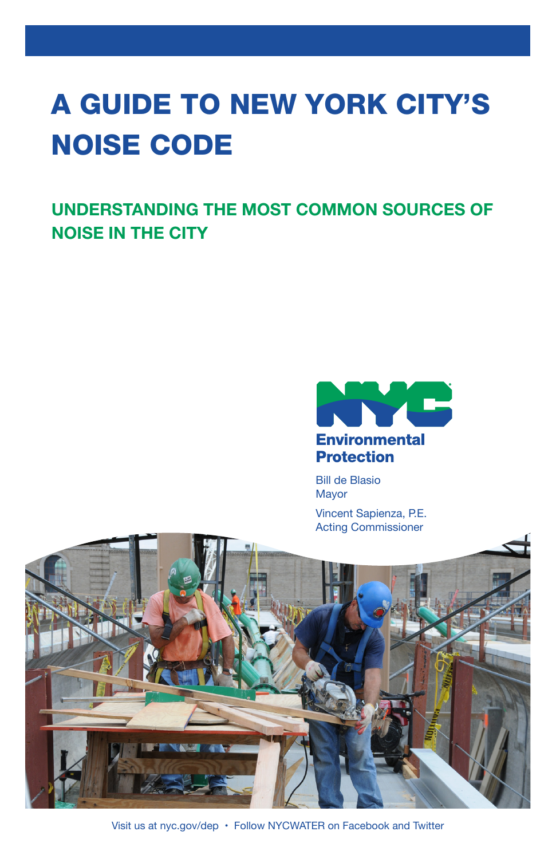# A GUIDE TO NEW YORK CITY'S NOISE CODE

**UNDERSTANDING THE MOST COMMON SOURCES OF NOISE IN THE CITY**



Bill de Blasio Mayor

Vincent Sapienza, P.E. Acting Commissioner



Visit us at nyc.gov/dep • Follow NYCWATER on Facebook and Twitter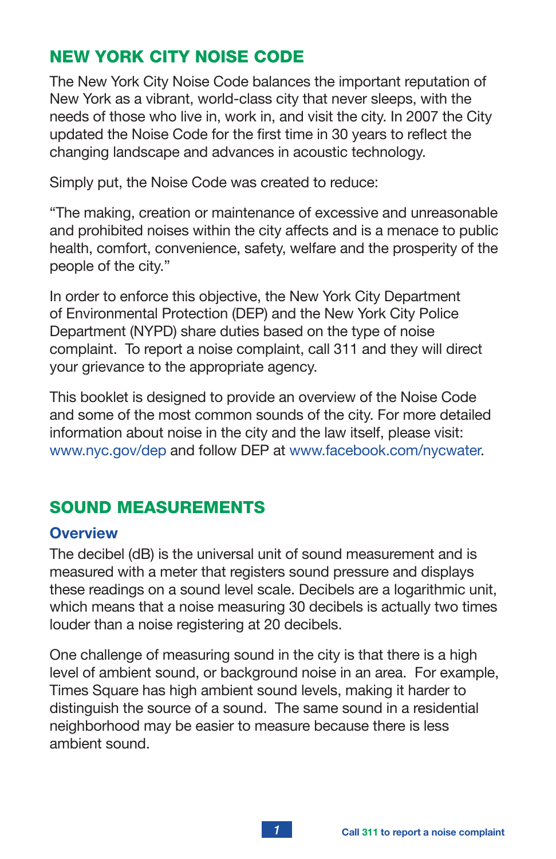# NEW YORK CITY NOISE CODE

The New York City Noise Code balances the important reputation of New York as a vibrant, world-class city that never sleeps, with the needs of those who live in, work in, and visit the city. In 2007 the City updated the Noise Code for the first time in 30 years to reflect the changing landscape and advances in acoustic technology.

Simply put, the Noise Code was created to reduce:

"The making, creation or maintenance of excessive and unreasonable and prohibited noises within the city affects and is a menace to public health, comfort, convenience, safety, welfare and the prosperity of the people of the city."

In order to enforce this objective, the New York City Department of Environmental Protection (DEP) and the New York City Police Department (NYPD) share duties based on the type of noise complaint. To report a noise complaint, call 311 and they will direct your grievance to the appropriate agency.

This booklet is designed to provide an overview of the Noise Code and some of the most common sounds of the city. For more detailed information about noise in the city and the law itself, please visit: www.nyc.gov/dep and follow DEP at www.facebook.com/nycwater.

# SOUND MEASUREMENTS

## **Overview**

The decibel (dB) is the universal unit of sound measurement and is measured with a meter that registers sound pressure and displays these readings on a sound level scale. Decibels are a logarithmic unit, which means that a noise measuring 30 decibels is actually two times louder than a noise registering at 20 decibels.

One challenge of measuring sound in the city is that there is a high level of ambient sound, or background noise in an area. For example, Times Square has high ambient sound levels, making it harder to distinguish the source of a sound. The same sound in a residential neighborhood may be easier to measure because there is less ambient sound.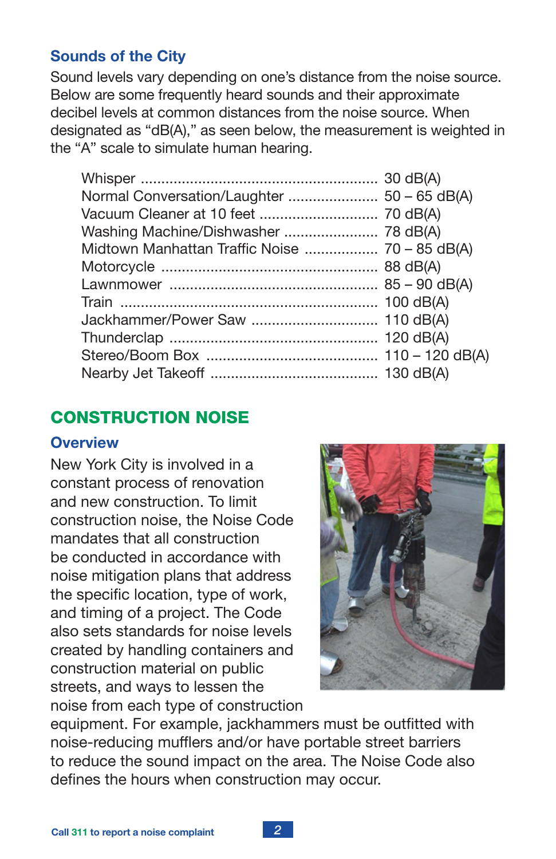#### **Sounds of the City**

Sound levels vary depending on one's distance from the noise source. Below are some frequently heard sounds and their approximate decibel levels at common distances from the noise source. When designated as "dB(A)," as seen below, the measurement is weighted in the "A" scale to simulate human hearing.

# CONSTRUCTION NOISE

#### **Overview**

New York City is involved in a constant process of renovation and new construction. To limit construction noise, the Noise Code mandates that all construction be conducted in accordance with noise mitigation plans that address the specific location, type of work, and timing of a project. The Code also sets standards for noise levels created by handling containers and construction material on public streets, and ways to lessen the noise from each type of construction



equipment. For example, jackhammers must be outfitted with noise-reducing mufflers and/or have portable street barriers to reduce the sound impact on the area. The Noise Code also defines the hours when construction may occur.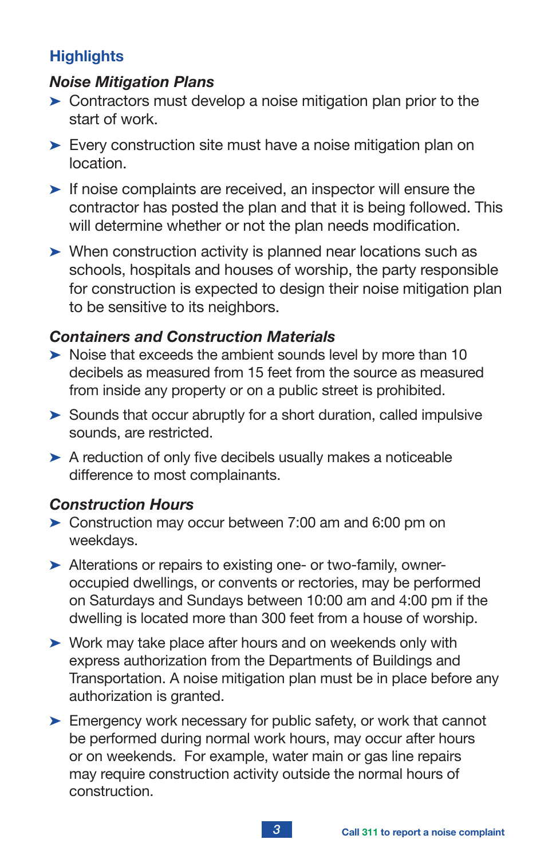# **Highlights**

## *Noise Mitigation Plans*

- $\triangleright$  Contractors must develop a noise mitigation plan prior to the start of work.
- $\blacktriangleright$  Every construction site must have a noise mitigation plan on location.
- $\blacktriangleright$  If noise complaints are received, an inspector will ensure the contractor has posted the plan and that it is being followed. This will determine whether or not the plan needs modification.
- $\triangleright$  When construction activity is planned near locations such as schools, hospitals and houses of worship, the party responsible for construction is expected to design their noise mitigation plan to be sensitive to its neighbors.

## *Containers and Construction Materials*

- $\triangleright$  Noise that exceeds the ambient sounds level by more than 10 decibels as measured from 15 feet from the source as measured from inside any property or on a public street is prohibited.
- $\triangleright$  Sounds that occur abruptly for a short duration, called impulsive sounds, are restricted.
- $\triangleright$  A reduction of only five decibels usually makes a noticeable difference to most complainants.

## *Construction Hours*

- $\triangleright$  Construction may occur between 7:00 am and 6:00 pm on weekdays.
- $\blacktriangleright$  Alterations or repairs to existing one- or two-family, owneroccupied dwellings, or convents or rectories, may be performed on Saturdays and Sundays between 10:00 am and 4:00 pm if the dwelling is located more than 300 feet from a house of worship.
- $\triangleright$  Work may take place after hours and on weekends only with express authorization from the Departments of Buildings and Transportation. A noise mitigation plan must be in place before any authorization is granted.
- $\blacktriangleright$  Emergency work necessary for public safety, or work that cannot be performed during normal work hours, may occur after hours or on weekends. For example, water main or gas line repairs may require construction activity outside the normal hours of construction.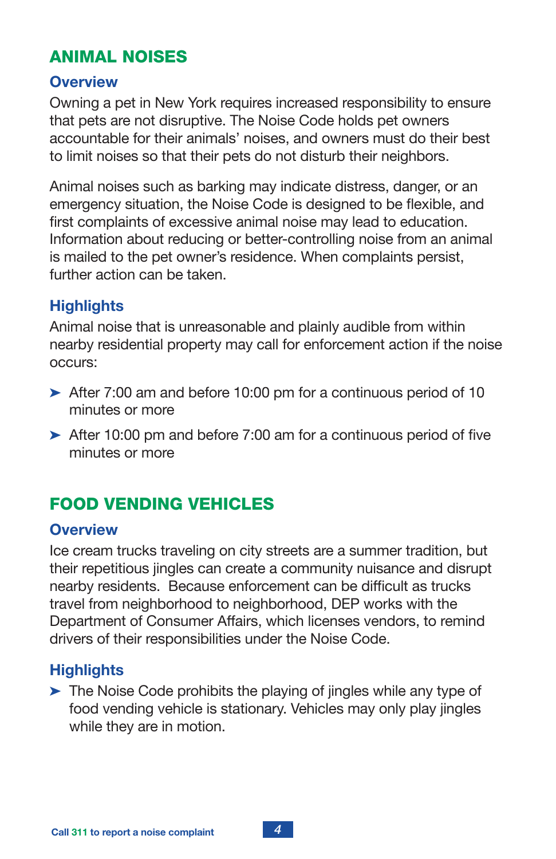# ANIMAL NOISES

#### **Overview**

Owning a pet in New York requires increased responsibility to ensure that pets are not disruptive. The Noise Code holds pet owners accountable for their animals' noises, and owners must do their best to limit noises so that their pets do not disturb their neighbors.

Animal noises such as barking may indicate distress, danger, or an emergency situation, the Noise Code is designed to be flexible, and first complaints of excessive animal noise may lead to education. Information about reducing or better-controlling noise from an animal is mailed to the pet owner's residence. When complaints persist, further action can be taken.

## **Highlights**

Animal noise that is unreasonable and plainly audible from within nearby residential property may call for enforcement action if the noise occurs:

- $\blacktriangleright$  After 7:00 am and before 10:00 pm for a continuous period of 10 minutes or more
- $\blacktriangleright$  After 10:00 pm and before 7:00 am for a continuous period of five minutes or more

# FOOD VENDING VEHICLES

#### **Overview**

Ice cream trucks traveling on city streets are a summer tradition, but their repetitious jingles can create a community nuisance and disrupt nearby residents. Because enforcement can be difficult as trucks travel from neighborhood to neighborhood, DEP works with the Department of Consumer Affairs, which licenses vendors, to remind drivers of their responsibilities under the Noise Code.

#### **Highlights**

 $\blacktriangleright$  The Noise Code prohibits the playing of jingles while any type of food vending vehicle is stationary. Vehicles may only play jingles while they are in motion.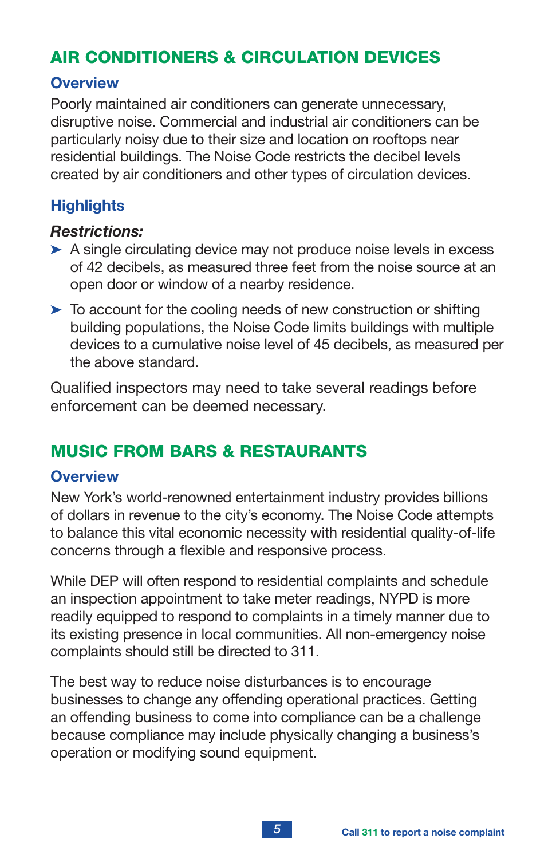# AIR CONDITIONERS & CIRCULATION DEVICES

#### **Overview**

Poorly maintained air conditioners can generate unnecessary, disruptive noise. Commercial and industrial air conditioners can be particularly noisy due to their size and location on rooftops near residential buildings. The Noise Code restricts the decibel levels created by air conditioners and other types of circulation devices.

## **Highlights**

#### *Restrictions:*

- $\triangleright$  A single circulating device may not produce noise levels in excess of 42 decibels, as measured three feet from the noise source at an open door or window of a nearby residence.
- $\triangleright$  To account for the cooling needs of new construction or shifting building populations, the Noise Code limits buildings with multiple devices to a cumulative noise level of 45 decibels, as measured per the above standard.

Qualified inspectors may need to take several readings before enforcement can be deemed necessary.

# MUSIC FROM BARS & RESTAURANTS

#### **Overview**

New York's world-renowned entertainment industry provides billions of dollars in revenue to the city's economy. The Noise Code attempts to balance this vital economic necessity with residential quality-of-life concerns through a flexible and responsive process.

While DEP will often respond to residential complaints and schedule an inspection appointment to take meter readings, NYPD is more readily equipped to respond to complaints in a timely manner due to its existing presence in local communities. All non-emergency noise complaints should still be directed to 311.

The best way to reduce noise disturbances is to encourage businesses to change any offending operational practices. Getting an offending business to come into compliance can be a challenge because compliance may include physically changing a business's operation or modifying sound equipment.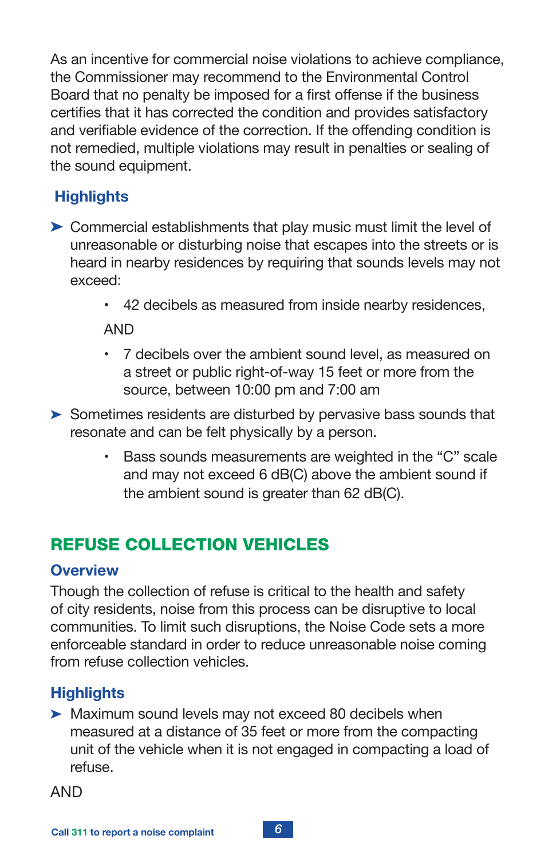As an incentive for commercial noise violations to achieve compliance, the Commissioner may recommend to the Environmental Control Board that no penalty be imposed for a first offense if the business certifies that it has corrected the condition and provides satisfactory and verifiable evidence of the correction. If the offending condition is not remedied, multiple violations may result in penalties or sealing of the sound equipment.

# **Highlights**

- $\triangleright$  Commercial establishments that play music must limit the level of unreasonable or disturbing noise that escapes into the streets or is heard in nearby residences by requiring that sounds levels may not exceed:
	- 42 decibels as measured from inside nearby residences,

AND

- 7 decibels over the ambient sound level, as measured on a street or public right-of-way 15 feet or more from the source, between 10:00 pm and 7:00 am
- $\triangleright$  Sometimes residents are disturbed by pervasive bass sounds that resonate and can be felt physically by a person.
	- Bass sounds measurements are weighted in the "C" scale and may not exceed 6 dB(C) above the ambient sound if the ambient sound is greater than 62 dB(C).

# REFUSE COLLECTION VEHICLES

#### **Overview**

Though the collection of refuse is critical to the health and safety of city residents, noise from this process can be disruptive to local communities. To limit such disruptions, the Noise Code sets a more enforceable standard in order to reduce unreasonable noise coming from refuse collection vehicles.

# **Highlights**

 $\blacktriangleright$  Maximum sound levels may not exceed 80 decibels when measured at a distance of 35 feet or more from the compacting unit of the vehicle when it is not engaged in compacting a load of refuse.

AND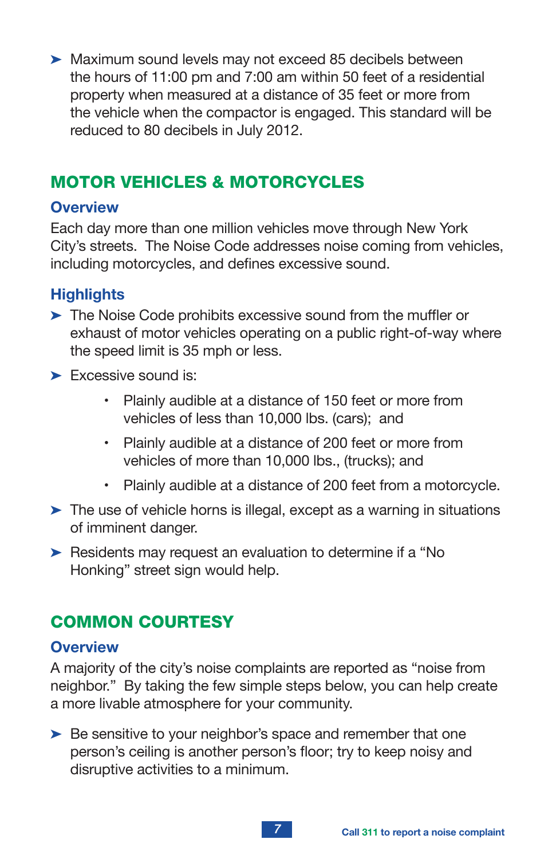$\blacktriangleright$  Maximum sound levels may not exceed 85 decibels between the hours of 11:00 pm and 7:00 am within 50 feet of a residential property when measured at a distance of 35 feet or more from the vehicle when the compactor is engaged. This standard will be reduced to 80 decibels in July 2012.

# MOTOR VEHICLES & MOTORCYCLES

#### **Overview**

Each day more than one million vehicles move through New York City's streets. The Noise Code addresses noise coming from vehicles, including motorcycles, and defines excessive sound.

## **Highlights**

- $\blacktriangleright$  The Noise Code prohibits excessive sound from the muffler or exhaust of motor vehicles operating on a public right-of-way where the speed limit is 35 mph or less.
- $\blacktriangleright$  Excessive sound is:
	- Plainly audible at a distance of 150 feet or more from vehicles of less than 10,000 lbs. (cars); and
	- Plainly audible at a distance of 200 feet or more from vehicles of more than 10,000 lbs., (trucks); and
	- Plainly audible at a distance of 200 feet from a motorcycle.
- $\blacktriangleright$  The use of vehicle horns is illegal, except as a warning in situations of imminent danger.
- $\triangleright$  Residents may request an evaluation to determine if a "No Honking" street sign would help.

# COMMON COURTESY

#### **Overview**

A majority of the city's noise complaints are reported as "noise from neighbor." By taking the few simple steps below, you can help create a more livable atmosphere for your community.

 $\triangleright$  Be sensitive to your neighbor's space and remember that one person's ceiling is another person's floor; try to keep noisy and disruptive activities to a minimum.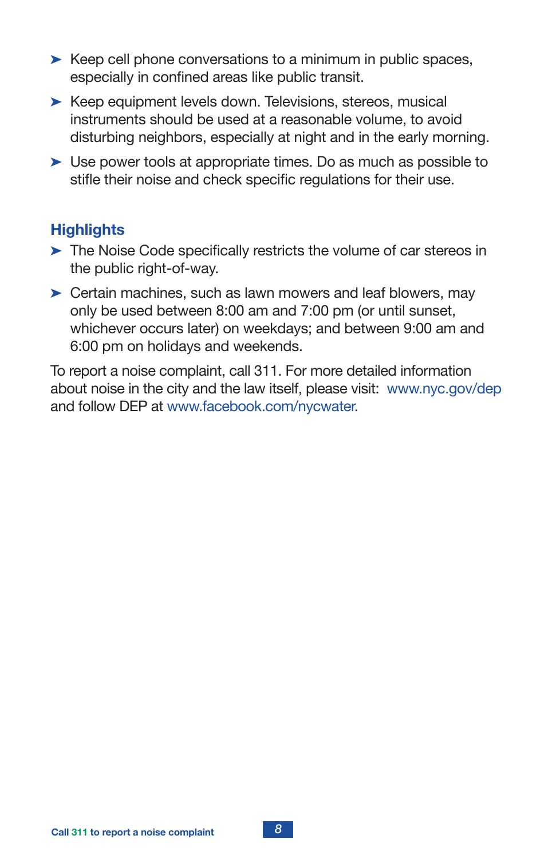- $\triangleright$  Keep cell phone conversations to a minimum in public spaces, especially in confined areas like public transit.
- $\blacktriangleright$  Keep equipment levels down. Televisions, stereos, musical instruments should be used at a reasonable volume, to avoid disturbing neighbors, especially at night and in the early morning.
- $\triangleright$  Use power tools at appropriate times. Do as much as possible to stifle their noise and check specific regulations for their use.

#### **Highlights**

- $\blacktriangleright$  The Noise Code specifically restricts the volume of car stereos in the public right-of-way.
- $\triangleright$  Certain machines, such as lawn mowers and leaf blowers, may only be used between 8:00 am and 7:00 pm (or until sunset, whichever occurs later) on weekdays; and between 9:00 am and 6:00 pm on holidays and weekends.

To report a noise complaint, call 311. For more detailed information about noise in the city and the law itself, please visit: www.nyc.gov/dep and follow DEP at www.facebook.com/nycwater.